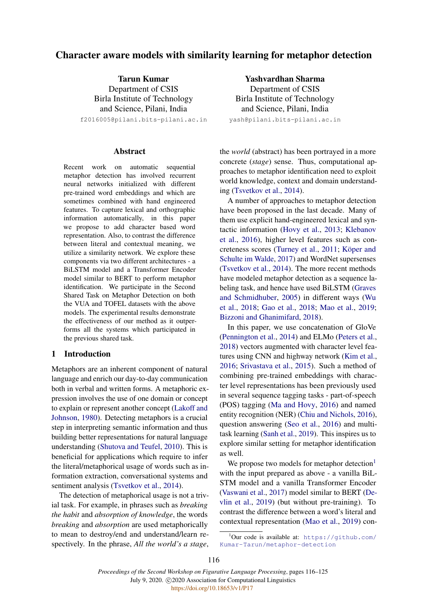# Character aware models with similarity learning for metaphor detection

Tarun Kumar Department of CSIS Birla Institute of Technology and Science, Pilani, India

f2016005@pilani.bits-pilani.ac.in

#### **Abstract**

Recent work on automatic sequential metaphor detection has involved recurrent neural networks initialized with different pre-trained word embeddings and which are sometimes combined with hand engineered features. To capture lexical and orthographic information automatically, in this paper we propose to add character based word representation. Also, to contrast the difference between literal and contextual meaning, we utilize a similarity network. We explore these components via two different architectures - a BiLSTM model and a Transformer Encoder model similar to BERT to perform metaphor identification. We participate in the Second Shared Task on Metaphor Detection on both the VUA and TOFEL datasets with the above models. The experimental results demonstrate the effectiveness of our method as it outperforms all the systems which participated in the previous shared task.

### 1 Introduction

Metaphors are an inherent component of natural language and enrich our day-to-day communication both in verbal and written forms. A metaphoric expression involves the use of one domain or concept to explain or represent another concept [\(Lakoff and](#page-8-0) [Johnson,](#page-8-0) [1980\)](#page-8-0). Detecting metaphors is a crucial step in interpreting semantic information and thus building better representations for natural language understanding [\(Shutova and Teufel,](#page-9-0) [2010\)](#page-9-0). This is beneficial for applications which require to infer the literal/metaphorical usage of words such as information extraction, conversational systems and sentiment analysis [\(Tsvetkov et al.,](#page-9-1) [2014\)](#page-9-1).

The detection of metaphorical usage is not a trivial task. For example, in phrases such as *breaking the habit* and *absorption of knowledge*, the words *breaking* and *absorption* are used metaphorically to mean to destroy/end and understand/learn respectively. In the phrase, *All the world's a stage*,

Yashvardhan Sharma

Department of CSIS Birla Institute of Technology and Science, Pilani, India

yash@pilani.bits-pilani.ac.in

the *world* (abstract) has been portrayed in a more concrete (*stage*) sense. Thus, computational approaches to metaphor identification need to exploit world knowledge, context and domain understanding [\(Tsvetkov et al.,](#page-9-1) [2014\)](#page-9-1).

A number of approaches to metaphor detection have been proposed in the last decade. Many of them use explicit hand-engineered lexical and syntactic information [\(Hovy et al.,](#page-8-1) [2013;](#page-8-1) [Klebanov](#page-8-2) [et al.,](#page-8-2) [2016\)](#page-8-2), higher level features such as con-creteness scores [\(Turney et al.,](#page-9-2) [2011;](#page-9-2) Köper and [Schulte im Walde,](#page-8-3) [2017\)](#page-8-3) and WordNet supersenses [\(Tsvetkov et al.,](#page-9-1) [2014\)](#page-9-1). The more recent methods have modeled metaphor detection as a sequence labeling task, and hence have used BiLSTM [\(Graves](#page-8-4) [and Schmidhuber,](#page-8-4) [2005\)](#page-8-4) in different ways [\(Wu](#page-9-3) [et al.,](#page-9-3) [2018;](#page-9-3) [Gao et al.,](#page-8-5) [2018;](#page-8-5) [Mao et al.,](#page-8-6) [2019;](#page-8-6) [Bizzoni and Ghanimifard,](#page-7-0) [2018\)](#page-7-0).

In this paper, we use concatenation of GloVe [\(Pennington et al.,](#page-8-7) [2014\)](#page-8-7) and ELMo [\(Peters et al.,](#page-8-8) [2018\)](#page-8-8) vectors augmented with character level features using CNN and highway network [\(Kim et al.,](#page-8-9) [2016;](#page-8-9) [Srivastava et al.,](#page-9-4) [2015\)](#page-9-4). Such a method of combining pre-trained embeddings with character level representations has been previously used in several sequence tagging tasks - part-of-speech (POS) tagging [\(Ma and Hovy,](#page-8-10) [2016\)](#page-8-10) and named entity recognition (NER) [\(Chiu and Nichols,](#page-8-11) [2016\)](#page-8-11), question answering [\(Seo et al.,](#page-9-5) [2016\)](#page-9-5) and multitask learning [\(Sanh et al.,](#page-9-6) [2019\)](#page-9-6). This inspires us to explore similar setting for metaphor identification as well.

We propose two models for metaphor detection $<sup>1</sup>$  $<sup>1</sup>$  $<sup>1</sup>$ </sup> with the input prepared as above - a vanilla BiL-STM model and a vanilla Transformer Encoder [\(Vaswani et al.,](#page-9-7) [2017\)](#page-9-7) model similar to BERT [\(De](#page-8-12)[vlin et al.,](#page-8-12) [2019\)](#page-8-12) (but without pre-training). To contrast the difference between a word's literal and contextual representation [\(Mao et al.,](#page-8-6) [2019\)](#page-8-6) con-

<span id="page-0-0"></span> $1$ Our code is available at: https://qithub.com/ [Kumar-Tarun/metaphor-detection](https://github.com/Kumar-Tarun/metaphor-detection)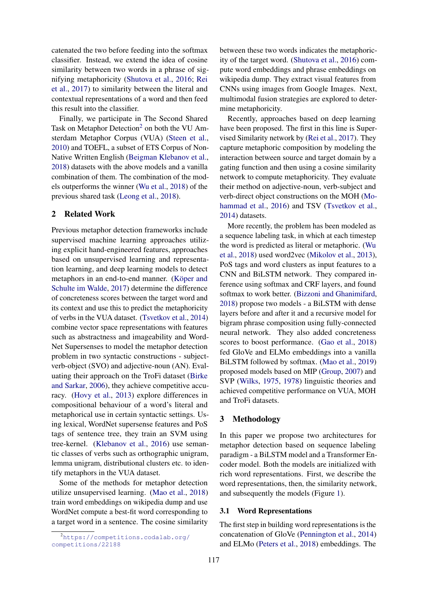catenated the two before feeding into the softmax classifier. Instead, we extend the idea of cosine similarity between two words in a phrase of signifying metaphoricity [\(Shutova et al.,](#page-9-8) [2016;](#page-9-8) [Rei](#page-9-9) [et al.,](#page-9-9) [2017\)](#page-9-9) to similarity between the literal and contextual representations of a word and then feed this result into the classifier.

Finally, we participate in The Second Shared Task on Metaphor Detection<sup>[2](#page-1-0)</sup> on both the VU Amsterdam Metaphor Corpus (VUA) [\(Steen et al.,](#page-9-10) [2010\)](#page-9-10) and TOEFL, a subset of ETS Corpus of Non-Native Written English [\(Beigman Klebanov et al.,](#page-7-1) [2018\)](#page-7-1) datasets with the above models and a vanilla combination of them. The combination of the models outperforms the winner [\(Wu et al.,](#page-9-3) [2018\)](#page-9-3) of the previous shared task [\(Leong et al.,](#page-8-13) [2018\)](#page-8-13).

### 2 Related Work

Previous metaphor detection frameworks include supervised machine learning approaches utilizing explicit hand-engineered features, approaches based on unsupervised learning and representation learning, and deep learning models to detect metaphors in an end-to-end manner. (Köper and [Schulte im Walde,](#page-8-3) [2017\)](#page-8-3) determine the difference of concreteness scores between the target word and its context and use this to predict the metaphoricity of verbs in the VUA dataset. [\(Tsvetkov et al.,](#page-9-1) [2014\)](#page-9-1) combine vector space representations with features such as abstractness and imageability and Word-Net Supersenses to model the metaphor detection problem in two syntactic constructions - subjectverb-object (SVO) and adjective-noun (AN). Evaluating their approach on the TroFi dataset [\(Birke](#page-7-2) [and Sarkar,](#page-7-2) [2006\)](#page-7-2), they achieve competitive accuracy. [\(Hovy et al.,](#page-8-1) [2013\)](#page-8-1) explore differences in compositional behaviour of a word's literal and metaphorical use in certain syntactic settings. Using lexical, WordNet supersense features and PoS tags of sentence tree, they train an SVM using tree-kernel. [\(Klebanov et al.,](#page-8-2) [2016\)](#page-8-2) use semantic classes of verbs such as orthographic unigram, lemma unigram, distributional clusters etc. to identify metaphors in the VUA dataset.

Some of the methods for metaphor detection utilize unsupervised learning. [\(Mao et al.,](#page-8-14) [2018\)](#page-8-14) train word embeddings on wikipedia dump and use WordNet compute a best-fit word corresponding to a target word in a sentence. The cosine similarity between these two words indicates the metaphoricity of the target word. [\(Shutova et al.,](#page-9-8) [2016\)](#page-9-8) compute word embeddings and phrase embeddings on wikipedia dump. They extract visual features from CNNs using images from Google Images. Next, multimodal fusion strategies are explored to determine metaphoricity.

Recently, approaches based on deep learning have been proposed. The first in this line is Supervised Similarity network by [\(Rei et al.,](#page-9-9) [2017\)](#page-9-9). They capture metaphoric composition by modeling the interaction between source and target domain by a gating function and then using a cosine similarity network to compute metaphoricity. They evaluate their method on adjective-noun, verb-subject and verb-direct object constructions on the MOH [\(Mo](#page-8-15)[hammad et al.,](#page-8-15) [2016\)](#page-8-15) and TSV [\(Tsvetkov et al.,](#page-9-1) [2014\)](#page-9-1) datasets.

More recently, the problem has been modeled as a sequence labeling task, in which at each timestep the word is predicted as literal or metaphoric. [\(Wu](#page-9-3) [et al.,](#page-9-3) [2018\)](#page-9-3) used word2vec [\(Mikolov et al.,](#page-8-16) [2013\)](#page-8-16), PoS tags and word clusters as input features to a CNN and BiLSTM network. They compared inference using softmax and CRF layers, and found softmax to work better. [\(Bizzoni and Ghanimifard,](#page-7-0) [2018\)](#page-7-0) propose two models - a BiLSTM with dense layers before and after it and a recursive model for bigram phrase composition using fully-connected neural network. They also added concreteness scores to boost performance. [\(Gao et al.,](#page-8-5) [2018\)](#page-8-5) fed GloVe and ELMo embeddings into a vanilla BiLSTM followed by softmax. [\(Mao et al.,](#page-8-6) [2019\)](#page-8-6) proposed models based on MIP [\(Group,](#page-8-17) [2007\)](#page-8-17) and SVP [\(Wilks,](#page-9-11) [1975,](#page-9-11) [1978\)](#page-9-12) linguistic theories and achieved competitive performance on VUA, MOH and TroFi datasets.

# 3 Methodology

In this paper we propose two architectures for metaphor detection based on sequence labeling paradigm - a BiLSTM model and a Transformer Encoder model. Both the models are initialized with rich word representations. First, we describe the word representations, then, the similarity network, and subsequently the models (Figure [1\)](#page-2-0).

#### 3.1 Word Representations

The first step in building word representations is the concatenation of GloVe [\(Pennington et al.,](#page-8-7) [2014\)](#page-8-7) and ELMo [\(Peters et al.,](#page-8-8) [2018\)](#page-8-8) embeddings. The

<span id="page-1-0"></span><sup>2</sup>[https://competitions.codalab.org/](https://competitions.codalab.org/competitions/22188) [competitions/22188](https://competitions.codalab.org/competitions/22188)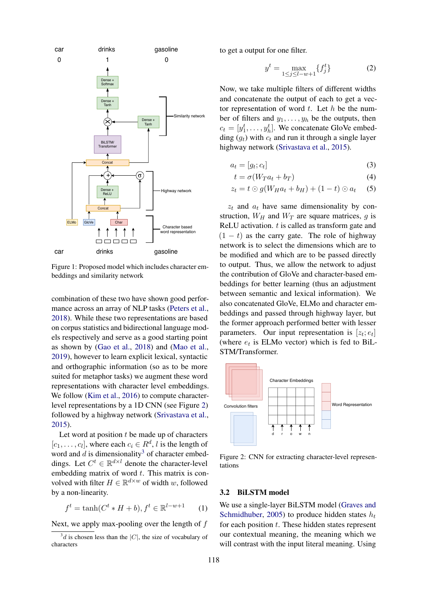<span id="page-2-0"></span>

Figure 1: Proposed model which includes character embeddings and similarity network

combination of these two have shown good performance across an array of NLP tasks [\(Peters et al.,](#page-8-8) [2018\)](#page-8-8). While these two representations are based on corpus statistics and bidirectional language models respectively and serve as a good starting point as shown by [\(Gao et al.,](#page-8-5) [2018\)](#page-8-5) and [\(Mao et al.,](#page-8-6) [2019\)](#page-8-6), however to learn explicit lexical, syntactic and orthographic information (so as to be more suited for metaphor tasks) we augment these word representations with character level embeddings. We follow [\(Kim et al.,](#page-8-9) [2016\)](#page-8-9) to compute characterlevel representations by a 1D CNN (see Figure [2\)](#page-2-1) followed by a highway network [\(Srivastava et al.,](#page-9-4) [2015\)](#page-9-4).

Let word at position  $t$  be made up of characters  $[c_1, \ldots, c_l]$ , where each  $c_i \in R^d$ , *l* is the length of word and  $\tilde{d}$  is dimensionality<sup>[3](#page-2-2)</sup> of character embeddings. Let  $C^t \in \mathbb{R}^{d \times l}$  denote the character-level embedding matrix of word  $t$ . This matrix is convolved with filter  $H \in \mathbb{R}^{d \times w}$  of width w, followed by a non-linearity.

$$
f^{t} = \tanh(C^{t} * H + b), f^{t} \in \mathbb{R}^{l-w+1}
$$
 (1)

Next, we apply max-pooling over the length of  $f$ 

to get a output for one filter.

$$
y^{t} = \max_{1 \le j \le l-w+1} \{ f_{j}^{t} \}
$$
 (2)

Now, we take multiple filters of different widths and concatenate the output of each to get a vector representation of word  $t$ . Let  $h$  be the number of filters and  $y_1, \ldots, y_h$  be the outputs, then  $c_t = [y_1^t, \dots, y_h^t]$ . We concatenate GloVe embedding  $(q_t)$  with  $c_t$  and run it through a single layer highway network [\(Srivastava et al.,](#page-9-4) [2015\)](#page-9-4).

$$
a_t = [g_t; c_t] \tag{3}
$$

$$
t = \sigma(W_T a_t + b_T) \tag{4}
$$

$$
z_t = t \odot g(W_H a_t + b_H) + (1 - t) \odot a_t \quad (5)
$$

 $z_t$  and  $a_t$  have same dimensionality by construction,  $W_H$  and  $W_T$  are square matrices, q is ReLU activation.  $t$  is called as transform gate and  $(1 - t)$  as the carry gate. The role of highway network is to select the dimensions which are to be modified and which are to be passed directly to output. Thus, we allow the network to adjust the contribution of GloVe and character-based embeddings for better learning (thus an adjustment between semantic and lexical information). We also concatenated GloVe, ELMo and character embeddings and passed through highway layer, but the former approach performed better with lesser parameters. Our input representation is  $[z_t; e_t]$ (where  $e_t$  is ELMo vector) which is fed to BiL-STM/Transformer.

<span id="page-2-1"></span>

Figure 2: CNN for extracting character-level representations

### 3.2 BiLSTM model

We use a single-layer BiLSTM model [\(Graves and](#page-8-4) [Schmidhuber,](#page-8-4) [2005\)](#page-8-4) to produce hidden states  $h_t$ for each position  $t$ . These hidden states represent our contextual meaning, the meaning which we will contrast with the input literal meaning. Using

<span id="page-2-2"></span> $3d$  is chosen less than the |C|, the size of vocabulary of characters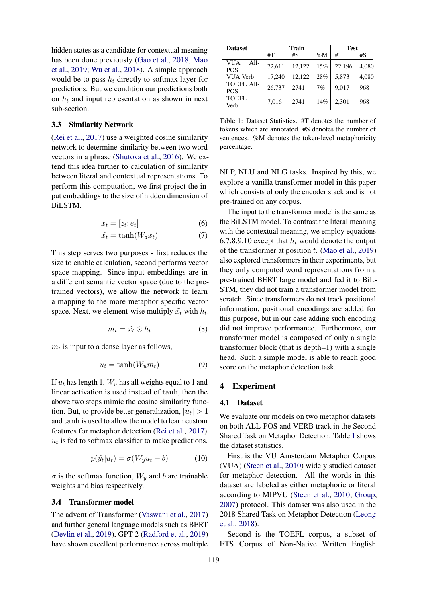hidden states as a candidate for contextual meaning has been done previously [\(Gao et al.,](#page-8-5) [2018;](#page-8-5) [Mao](#page-8-6) [et al.,](#page-8-6) [2019;](#page-8-6) [Wu et al.,](#page-9-3) [2018\)](#page-9-3). A simple approach would be to pass  $h_t$  directly to softmax layer for predictions. But we condition our predictions both on  $h_t$  and input representation as shown in next sub-section.

#### 3.3 Similarity Network

[\(Rei et al.,](#page-9-9) [2017\)](#page-9-9) use a weighted cosine similarity network to determine similarity between two word vectors in a phrase [\(Shutova et al.,](#page-9-8) [2016\)](#page-9-8). We extend this idea further to calculation of similarity between literal and contextual representations. To perform this computation, we first project the input embeddings to the size of hidden dimension of BiLSTM.

$$
x_t = [z_t; e_t] \tag{6}
$$

$$
\tilde{x_t} = \tanh(W_z x_t) \tag{7}
$$

This step serves two purposes - first reduces the size to enable calculation, second performs vector space mapping. Since input embeddings are in a different semantic vector space (due to the pretrained vectors), we allow the network to learn a mapping to the more metaphor specific vector space. Next, we element-wise multiply  $\tilde{x}_t$  with  $h_t$ .

$$
m_t = \tilde{x}_t \odot h_t \tag{8}
$$

 $m_t$  is input to a dense layer as follows,

$$
u_t = \tanh(W_u m_t) \tag{9}
$$

If  $u_t$  has length 1,  $W_u$  has all weights equal to 1 and linear activation is used instead of tanh, then the above two steps mimic the cosine similarity function. But, to provide better generalization,  $|u_t| > 1$ and tanh is used to allow the model to learn custom features for metaphor detection [\(Rei et al.,](#page-9-9) [2017\)](#page-9-9).  $u_t$  is fed to softmax classifier to make predictions.

$$
p(\hat{y_t}|u_t) = \sigma(W_y u_t + b)
$$
 (10)

 $\sigma$  is the softmax function,  $W_y$  and b are trainable weights and bias respectively.

#### 3.4 Transformer model

The advent of Transformer [\(Vaswani et al.,](#page-9-7) [2017\)](#page-9-7) and further general language models such as BERT [\(Devlin et al.,](#page-8-12) [2019\)](#page-8-12), GPT-2 [\(Radford et al.,](#page-8-18) [2019\)](#page-8-18) have shown excellent performance across multiple

<span id="page-3-0"></span>

| <b>Dataset</b>                     |        | <b>Train</b> |        | <b>Test</b> |       |
|------------------------------------|--------|--------------|--------|-------------|-------|
|                                    | #T     | #S           | $\%M$  | #T          | #S    |
| <b>VUA</b><br>$All-$<br><b>POS</b> | 72.611 | 12,122       | 15%    | 22,196      | 4.080 |
| <b>VUA Verb</b>                    | 17.240 | 12,122       | $28\%$ | 5.873       | 4.080 |
| <b>TOEFL All-</b><br><b>POS</b>    | 26.737 | 2741         | 7%     | 9.017       | 968   |
| TOEFL<br>Verb                      | 7.016  | 2741         | 14%    | 2,301       | 968   |

Table 1: Dataset Statistics. #T denotes the number of tokens which are annotated. #S denotes the number of sentences. %M denotes the token-level metaphoricity percentage.

NLP, NLU and NLG tasks. Inspired by this, we explore a vanilla transformer model in this paper which consists of only the encoder stack and is not pre-trained on any corpus.

The input to the transformer model is the same as the BiLSTM model. To contrast the literal meaning with the contextual meaning, we employ equations 6,7,8,9,10 except that  $h_t$  would denote the output of the transformer at position  $t$ . [\(Mao et al.,](#page-8-6) [2019\)](#page-8-6) also explored transformers in their experiments, but they only computed word representations from a pre-trained BERT large model and fed it to BiL-STM, they did not train a transformer model from scratch. Since transformers do not track positional information, positional encodings are added for this purpose, but in our case adding such encoding did not improve performance. Furthermore, our transformer model is composed of only a single transformer block (that is depth=1) with a single head. Such a simple model is able to reach good score on the metaphor detection task.

#### 4 Experiment

#### 4.1 Dataset

We evaluate our models on two metaphor datasets on both ALL-POS and VERB track in the Second Shared Task on Metaphor Detection. Table [1](#page-3-0) shows the dataset statistics.

First is the VU Amsterdam Metaphor Corpus (VUA) [\(Steen et al.,](#page-9-10) [2010\)](#page-9-10) widely studied dataset for metaphor detection. All the words in this dataset are labeled as either metaphoric or literal according to MIPVU [\(Steen et al.,](#page-9-10) [2010;](#page-9-10) [Group,](#page-8-17) [2007\)](#page-8-17) protocol. This dataset was also used in the 2018 Shared Task on Metaphor Detection [\(Leong](#page-8-13) [et al.,](#page-8-13) [2018\)](#page-8-13).

Second is the TOEFL corpus, a subset of ETS Corpus of Non-Native Written English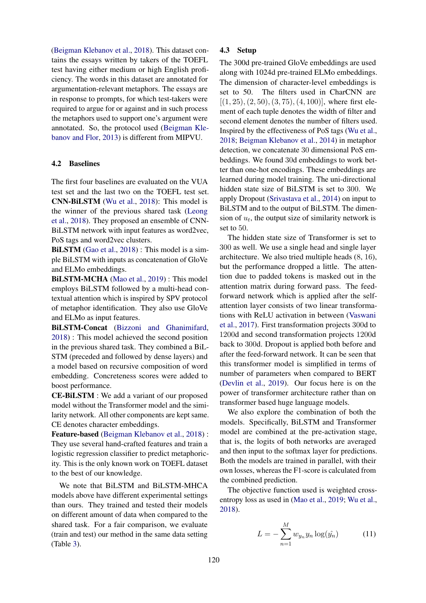[\(Beigman Klebanov et al.,](#page-7-1) [2018\)](#page-7-1). This dataset contains the essays written by takers of the TOEFL test having either medium or high English proficiency. The words in this dataset are annotated for argumentation-relevant metaphors. The essays are in response to prompts, for which test-takers were required to argue for or against and in such process the metaphors used to support one's argument were annotated. So, the protocol used [\(Beigman Kle](#page-7-3)[banov and Flor,](#page-7-3) [2013\)](#page-7-3) is different from MIPVU.

#### 4.2 Baselines

The first four baselines are evaluated on the VUA test set and the last two on the TOEFL test set. CNN-BiLSTM [\(Wu et al.,](#page-9-3) [2018\)](#page-9-3): This model is the winner of the previous shared task [\(Leong](#page-8-13) [et al.,](#page-8-13) [2018\)](#page-8-13). They proposed an ensemble of CNN-BiLSTM network with input features as word2vec, PoS tags and word2vec clusters.

BILSTM [\(Gao et al.,](#page-8-5) [2018\)](#page-8-5) : This model is a simple BiLSTM with inputs as concatenation of GloVe and ELMo embeddings.

BiLSTM-MCHA [\(Mao et al.,](#page-8-6) [2019\)](#page-8-6) : This model employs BiLSTM followed by a multi-head contextual attention which is inspired by SPV protocol of metaphor identification. They also use GloVe and ELMo as input features.

BiLSTM-Concat [\(Bizzoni and Ghanimifard,](#page-7-0) [2018\)](#page-7-0) : This model achieved the second position in the previous shared task. They combined a BiL-STM (preceded and followed by dense layers) and a model based on recursive composition of word embedding. Concreteness scores were added to boost performance.

CE-BiLSTM : We add a variant of our proposed model without the Transformer model and the similarity network. All other components are kept same. CE denotes character embeddings.

Feature-based [\(Beigman Klebanov et al.,](#page-7-1) [2018\)](#page-7-1) : They use several hand-crafted features and train a logistic regression classifier to predict metaphoricity. This is the only known work on TOEFL dataset to the best of our knowledge.

We note that BiLSTM and BiLSTM-MHCA models above have different experimental settings than ours. They trained and tested their models on different amount of data when compared to the shared task. For a fair comparison, we evaluate (train and test) our method in the same data setting (Table [3\)](#page-5-0).

# 4.3 Setup

The 300d pre-trained GloVe embeddings are used along with 1024d pre-trained ELMo embeddings. The dimension of character-level embeddings is set to 50. The filters used in CharCNN are  $[(1, 25), (2, 50), (3, 75), (4, 100)]$ , where first element of each tuple denotes the width of filter and second element denotes the number of filters used. Inspired by the effectiveness of PoS tags [\(Wu et al.,](#page-9-3) [2018;](#page-9-3) [Beigman Klebanov et al.,](#page-7-4) [2014\)](#page-7-4) in metaphor detection, we concatenate 30 dimensional PoS embeddings. We found 30d embeddings to work better than one-hot encodings. These embeddings are learned during model training. The uni-directional hidden state size of BiLSTM is set to 300. We apply Dropout [\(Srivastava et al.,](#page-9-13) [2014\)](#page-9-13) on input to BiLSTM and to the output of BiLSTM. The dimension of  $u_t$ , the output size of similarity network is set to 50.

The hidden state size of Transformer is set to 300 as well. We use a single head and single layer architecture. We also tried multiple heads (8, 16), but the performance dropped a little. The attention due to padded tokens is masked out in the attention matrix during forward pass. The feedforward network which is applied after the selfattention layer consists of two linear transformations with ReLU activation in between [\(Vaswani](#page-9-7) [et al.,](#page-9-7) [2017\)](#page-9-7). First transformation projects 300d to 1200d and second transformation projects 1200d back to 300d. Dropout is applied both before and after the feed-forward network. It can be seen that this transformer model is simplified in terms of number of parameters when compared to BERT [\(Devlin et al.,](#page-8-12) [2019\)](#page-8-12). Our focus here is on the power of transformer architecture rather than on transformer based huge language models.

We also explore the combination of both the models. Specifically, BiLSTM and Transformer model are combined at the pre-activation stage, that is, the logits of both networks are averaged and then input to the softmax layer for predictions. Both the models are trained in parallel, with their own losses, whereas the F1-score is calculated from the combined prediction.

The objective function used is weighted crossentropy loss as used in [\(Mao et al.,](#page-8-6) [2019;](#page-8-6) [Wu et al.,](#page-9-3) [2018\)](#page-9-3).

$$
L = -\sum_{n=1}^{M} w_{y_n} y_n \log(\hat{y_n})
$$
 (11)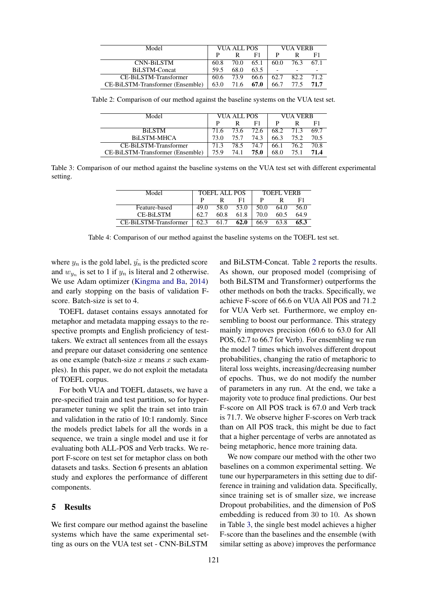<span id="page-5-1"></span>

| Model                            | VUA ALL POS |      | <b>VUA VERB</b> |      |      |      |
|----------------------------------|-------------|------|-----------------|------|------|------|
|                                  | D           |      | F1              |      |      | F1   |
| <b>CNN-BiLSTM</b>                | 60.8        | 70.0 | 65.1            | 60.0 | 76.3 | 67.1 |
| BiLSTM-Concat                    | 59.5        | 68.0 | 63.5            |      |      |      |
| CE-BiLSTM-Transformer            | 60.6        | 73.9 | 66.6            | 62.7 | 82.2 | 71.2 |
| CE-BiLSTM-Transformer (Ensemble) | 63.0        | 71.6 | 67.0            | 66.7 | 77.5 | 71.7 |

<span id="page-5-0"></span>Table 2: Comparison of our method against the baseline systems on the VUA test set.

| Model                            | VUA ALL POS |      | VUA VERB |      |      |      |
|----------------------------------|-------------|------|----------|------|------|------|
|                                  |             |      | F1       |      |      | F1   |
| <b>BiLSTM</b>                    | 71.6        | 73.6 | 72.6 I   | 68.2 | 71.3 | 69.7 |
| BILSTM-MHCA                      | 73 O        | 75.7 | 74.3     | 66.3 | 75.2 | 70.5 |
| CE-BiLSTM-Transformer            | 71.3        | 78.5 | 74.7     | 66.1 | 76.2 | 70.8 |
| CE-BiLSTM-Transformer (Ensemble) | 75.9        | 74.1 | 75.0     | 68.0 | 75.1 | 71.4 |

<span id="page-5-2"></span>Table 3: Comparison of our method against the baseline systems on the VUA test set with different experimental setting.

| Model                 | <b>TOEFL ALL POS</b> |      |      | <b>TOEFL VERB</b> |      |      |
|-----------------------|----------------------|------|------|-------------------|------|------|
|                       |                      |      | F1   |                   |      | F1   |
| Feature-based         | 49.0                 | 58.0 | 53.0 | 50.0              | 64.0 | 56.0 |
| <b>CE-BILSTM</b>      | 62.7                 | 60.8 | 61.8 | 70.0              | 60.5 | 64.9 |
| CE-BiLSTM-Transformer | 62.3                 | 617  | 62.0 | 66.9              | 63.8 | 65.3 |

Table 4: Comparison of our method against the baseline systems on the TOEFL test set.

where  $y_n$  is the gold label,  $\hat{y}_n$  is the predicted score and  $w_{y_n}$  is set to 1 if  $y_n$  is literal and 2 otherwise. We use Adam optimizer [\(Kingma and Ba,](#page-8-19) [2014\)](#page-8-19) and early stopping on the basis of validation Fscore. Batch-size is set to 4.

TOEFL dataset contains essays annotated for metaphor and metadata mapping essays to the respective prompts and English proficiency of testtakers. We extract all sentences from all the essays and prepare our dataset considering one sentence as one example (batch-size  $x$  means  $x$  such examples). In this paper, we do not exploit the metadata of TOEFL corpus.

For both VUA and TOEFL datasets, we have a pre-specified train and test partition, so for hyperparameter tuning we split the train set into train and validation in the ratio of 10:1 randomly. Since the models predict labels for all the words in a sequence, we train a single model and use it for evaluating both ALL-POS and Verb tracks. We report F-score on test set for metaphor class on both datasets and tasks. Section 6 presents an ablation study and explores the performance of different components.

# 5 Results

We first compare our method against the baseline systems which have the same experimental setting as ours on the VUA test set - CNN-BiLSTM

and BiLSTM-Concat. Table [2](#page-5-1) reports the results. As shown, our proposed model (comprising of both BiLSTM and Transformer) outperforms the other methods on both the tracks. Specifically, we achieve F-score of 66.6 on VUA All POS and 71.2 for VUA Verb set. Furthermore, we employ ensembling to boost our performance. This strategy mainly improves precision (60.6 to 63.0 for All POS, 62.7 to 66.7 for Verb). For ensembling we run the model 7 times which involves different dropout probabilities, changing the ratio of metaphoric to literal loss weights, increasing/decreasing number of epochs. Thus, we do not modify the number of parameters in any run. At the end, we take a majority vote to produce final predictions. Our best F-score on All POS track is 67.0 and Verb track is 71.7. We observe higher F-scores on Verb track than on All POS track, this might be due to fact that a higher percentage of verbs are annotated as being metaphoric, hence more training data.

We now compare our method with the other two baselines on a common experimental setting. We tune our hyperparameters in this setting due to difference in training and validation data. Specifically, since training set is of smaller size, we increase Dropout probabilities, and the dimension of PoS embedding is reduced from 30 to 10. As shown in Table [3,](#page-5-0) the single best model achieves a higher F-score than the baselines and the ensemble (with similar setting as above) improves the performance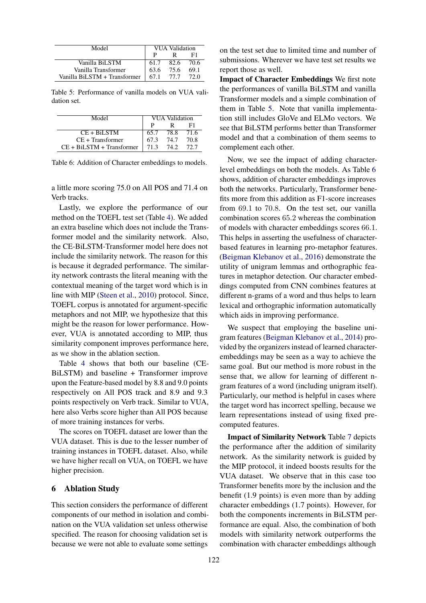<span id="page-6-0"></span>

| Model                        | <b>VUA Validation</b> |      |      |
|------------------------------|-----------------------|------|------|
|                              |                       |      | F1.  |
| Vanilla BiLSTM               | 61.7                  | 82.6 | 70.6 |
| Vanilla Transformer          | 63.6                  | 75.6 | 69.1 |
| Vanilla BiLSTM + Transformer | 67.1                  | 77.7 | 72.0 |

Table 5: Performance of vanilla models on VUA validation set.

<span id="page-6-1"></span>

| Model                       | <b>VUA Validation</b> |      |      |
|-----------------------------|-----------------------|------|------|
|                             |                       |      |      |
| $CE + BiLSTM$               | 65.7                  | 78.8 | 71.6 |
| $CE + Transfer$             | 67.3                  | 74.7 | 70.8 |
| $CE + BiLSTM + Transformer$ | 713                   | 74 2 | 72.7 |

Table 6: Addition of Character embeddings to models.

a little more scoring 75.0 on All POS and 71.4 on Verb tracks.

Lastly, we explore the performance of our method on the TOEFL test set (Table [4\)](#page-5-2). We added an extra baseline which does not include the Transformer model and the similarity network. Also, the CE-BiLSTM-Transformer model here does not include the similarity network. The reason for this is because it degraded performance. The similarity network contrasts the literal meaning with the contextual meaning of the target word which is in line with MIP [\(Steen et al.,](#page-9-10) [2010\)](#page-9-10) protocol. Since, TOEFL corpus is annotated for argument-specific metaphors and not MIP, we hypothesize that this might be the reason for lower performance. However, VUA is annotated according to MIP, thus similarity component improves performance here, as we show in the ablation section.

Table [4](#page-5-2) shows that both our baseline (CE-BiLSTM) and baseline + Transformer improve upon the Feature-based model by 8.8 and 9.0 points respectively on All POS track and 8.9 and 9.3 points respectively on Verb track. Similar to VUA, here also Verbs score higher than All POS because of more training instances for verbs.

The scores on TOEFL dataset are lower than the VUA dataset. This is due to the lesser number of training instances in TOEFL dataset. Also, while we have higher recall on VUA, on TOEFL we have higher precision.

#### 6 Ablation Study

This section considers the performance of different components of our method in isolation and combination on the VUA validation set unless otherwise specified. The reason for choosing validation set is because we were not able to evaluate some settings

on the test set due to limited time and number of submissions. Wherever we have test set results we report those as well.

Impact of Character Embeddings We first note the performances of vanilla BiLSTM and vanilla Transformer models and a simple combination of them in Table [5.](#page-6-0) Note that vanilla implementation still includes GloVe and ELMo vectors. We see that BiLSTM performs better than Transformer model and that a combination of them seems to complement each other.

Now, we see the impact of adding characterlevel embeddings on both the models. As Table [6](#page-6-1) shows, addition of character embeddings improves both the networks. Particularly, Transformer benefits more from this addition as F1-score increases from 69.1 to 70.8. On the test set, our vanilla combination scores 65.2 whereas the combination of models with character embeddings scores 66.1. This helps in asserting the usefulness of characterbased features in learning pro-metaphor features. [\(Beigman Klebanov et al.,](#page-7-5) [2016\)](#page-7-5) demonstrate the utility of unigram lemmas and orthographic features in metaphor detection. Our character embeddings computed from CNN combines features at different n-grams of a word and thus helps to learn lexical and orthographic information automatically which aids in improving performance.

We suspect that employing the baseline unigram features [\(Beigman Klebanov et al.,](#page-7-4) [2014\)](#page-7-4) provided by the organizers instead of learned characterembeddings may be seen as a way to achieve the same goal. But our method is more robust in the sense that, we allow for learning of different ngram features of a word (including unigram itself). Particularly, our method is helpful in cases where the target word has incorrect spelling, because we learn representations instead of using fixed precomputed features.

Impact of Similarity Network Table [7](#page-7-6) depicts the performance after the addition of similarity network. As the similarity network is guided by the MIP protocol, it indeed boosts results for the VUA dataset. We observe that in this case too Transformer benefits more by the inclusion and the benefit (1.9 points) is even more than by adding character embeddings (1.7 points). However, for both the components increments in BiLSTM performance are equal. Also, the combination of both models with similarity network outperforms the combination with character embeddings although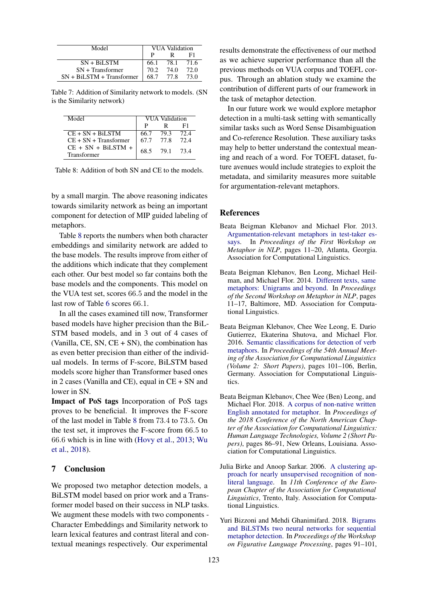<span id="page-7-6"></span>

| Model                       | VUA Validation |      |      |
|-----------------------------|----------------|------|------|
|                             |                |      | F1   |
| $SN + BiLSTM$               | 66.1           | 78.1 | 71.6 |
| $SN + Transfer$             | 70.2           | 74.0 | 72.0 |
| $SN + BiLSTM + Transformer$ | 68.7           | 77.8 | 73.0 |

Table 7: Addition of Similarity network to models. (SN is the Similarity network)

<span id="page-7-7"></span>

| Model                               | VUA Validation |                |    |  |
|-------------------------------------|----------------|----------------|----|--|
|                                     | P              |                | F1 |  |
| $CE + SN + BiLSTM$                  |                | 66.7 79.3 72.4 |    |  |
| $CE + SN + Transformer$             |                | 67.7 77.8 72.4 |    |  |
| $CE + SN + BiLSTM +$<br>Transformer |                | 68.5 79.1 73.4 |    |  |

Table 8: Addition of both SN and CE to the models.

by a small margin. The above reasoning indicates towards similarity network as being an important component for detection of MIP guided labeling of metaphors.

Table [8](#page-7-7) reports the numbers when both character embeddings and similarity network are added to the base models. The results improve from either of the additions which indicate that they complement each other. Our best model so far contains both the base models and the components. This model on the VUA test set, scores 66.5 and the model in the last row of Table [6](#page-6-1) scores 66.1.

In all the cases examined till now, Transformer based models have higher precision than the BiL-STM based models, and in 3 out of 4 cases of (Vanilla, CE, SN,  $CE + SN$ ), the combination has as even better precision than either of the individual models. In terms of F-score, BiLSTM based models score higher than Transformer based ones in 2 cases (Vanilla and CE), equal in CE + SN and lower in SN.

Impact of PoS tags Incorporation of PoS tags proves to be beneficial. It improves the F-score of the last model in Table [8](#page-7-7) from 73.4 to 73.5. On the test set, it improves the F-score from 66.5 to 66.6 which is in line with [\(Hovy et al.,](#page-8-1) [2013;](#page-8-1) [Wu](#page-9-3) [et al.,](#page-9-3) [2018\)](#page-9-3).

# 7 Conclusion

We proposed two metaphor detection models, a BiLSTM model based on prior work and a Transformer model based on their success in NLP tasks. We augment these models with two components - Character Embeddings and Similarity network to learn lexical features and contrast literal and contextual meanings respectively. Our experimental

results demonstrate the effectiveness of our method as we achieve superior performance than all the previous methods on VUA corpus and TOEFL corpus. Through an ablation study we examine the contribution of different parts of our framework in the task of metaphor detection.

In our future work we would explore metaphor detection in a multi-task setting with semantically similar tasks such as Word Sense Disambiguation and Co-reference Resolution. These auxiliary tasks may help to better understand the contextual meaning and reach of a word. For TOEFL dataset, future avenues would include strategies to exploit the metadata, and similarity measures more suitable for argumentation-relevant metaphors.

#### References

- <span id="page-7-3"></span>Beata Beigman Klebanov and Michael Flor. 2013. [Argumentation-relevant metaphors in test-taker es](https://www.aclweb.org/anthology/W13-0902)[says.](https://www.aclweb.org/anthology/W13-0902) In *Proceedings of the First Workshop on Metaphor in NLP*, pages 11–20, Atlanta, Georgia. Association for Computational Linguistics.
- <span id="page-7-4"></span>Beata Beigman Klebanov, Ben Leong, Michael Heilman, and Michael Flor. 2014. [Different texts, same](https://doi.org/10.3115/v1/W14-2302) [metaphors: Unigrams and beyond.](https://doi.org/10.3115/v1/W14-2302) In *Proceedings of the Second Workshop on Metaphor in NLP*, pages 11–17, Baltimore, MD. Association for Computational Linguistics.
- <span id="page-7-5"></span>Beata Beigman Klebanov, Chee Wee Leong, E. Dario Gutierrez, Ekaterina Shutova, and Michael Flor. 2016. [Semantic classifications for detection of verb](https://doi.org/10.18653/v1/P16-2017) [metaphors.](https://doi.org/10.18653/v1/P16-2017) In *Proceedings of the 54th Annual Meeting of the Association for Computational Linguistics (Volume 2: Short Papers)*, pages 101–106, Berlin, Germany. Association for Computational Linguistics.
- <span id="page-7-1"></span>Beata Beigman Klebanov, Chee Wee (Ben) Leong, and Michael Flor. 2018. [A corpus of non-native written](https://doi.org/10.18653/v1/N18-2014) [English annotated for metaphor.](https://doi.org/10.18653/v1/N18-2014) In *Proceedings of the 2018 Conference of the North American Chapter of the Association for Computational Linguistics: Human Language Technologies, Volume 2 (Short Papers)*, pages 86–91, New Orleans, Louisiana. Association for Computational Linguistics.
- <span id="page-7-2"></span>Julia Birke and Anoop Sarkar. 2006. [A clustering ap](https://www.aclweb.org/anthology/E06-1042)[proach for nearly unsupervised recognition of non](https://www.aclweb.org/anthology/E06-1042)[literal language.](https://www.aclweb.org/anthology/E06-1042) In *11th Conference of the European Chapter of the Association for Computational Linguistics*, Trento, Italy. Association for Computational Linguistics.
- <span id="page-7-0"></span>Yuri Bizzoni and Mehdi Ghanimifard. 2018. [Bigrams](https://doi.org/10.18653/v1/W18-0911) [and BiLSTMs two neural networks for sequential](https://doi.org/10.18653/v1/W18-0911) [metaphor detection.](https://doi.org/10.18653/v1/W18-0911) In *Proceedings of the Workshop on Figurative Language Processing*, pages 91–101,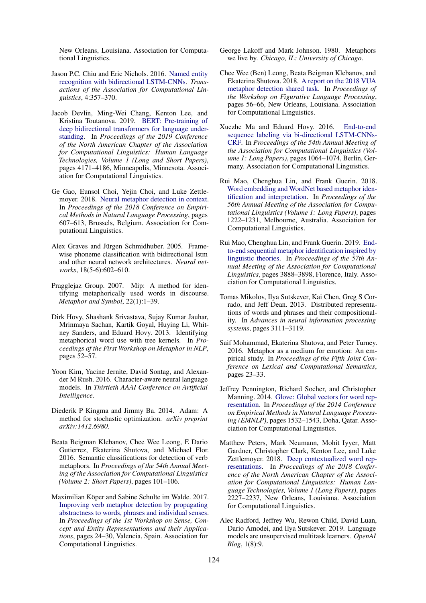New Orleans, Louisiana. Association for Computational Linguistics.

- <span id="page-8-11"></span>Jason P.C. Chiu and Eric Nichols. 2016. [Named entity](https://doi.org/10.1162/tacl_a_00104) [recognition with bidirectional LSTM-CNNs.](https://doi.org/10.1162/tacl_a_00104) *Transactions of the Association for Computational Linguistics*, 4:357–370.
- <span id="page-8-12"></span>Jacob Devlin, Ming-Wei Chang, Kenton Lee, and Kristina Toutanova. 2019. [BERT: Pre-training of](https://doi.org/10.18653/v1/N19-1423) [deep bidirectional transformers for language under](https://doi.org/10.18653/v1/N19-1423)[standing.](https://doi.org/10.18653/v1/N19-1423) In *Proceedings of the 2019 Conference of the North American Chapter of the Association for Computational Linguistics: Human Language Technologies, Volume 1 (Long and Short Papers)*, pages 4171–4186, Minneapolis, Minnesota. Association for Computational Linguistics.
- <span id="page-8-5"></span>Ge Gao, Eunsol Choi, Yejin Choi, and Luke Zettlemoyer. 2018. [Neural metaphor detection in context.](https://doi.org/10.18653/v1/D18-1060) In *Proceedings of the 2018 Conference on Empirical Methods in Natural Language Processing*, pages 607–613, Brussels, Belgium. Association for Computational Linguistics.
- <span id="page-8-4"></span>Alex Graves and Jürgen Schmidhuber. 2005. Framewise phoneme classification with bidirectional lstm and other neural network architectures. *Neural networks*, 18(5-6):602–610.
- <span id="page-8-17"></span>Pragglejaz Group. 2007. Mip: A method for identifying metaphorically used words in discourse. *Metaphor and Symbol*, 22(1):1–39.
- <span id="page-8-1"></span>Dirk Hovy, Shashank Srivastava, Sujay Kumar Jauhar, Mrinmaya Sachan, Kartik Goyal, Huying Li, Whitney Sanders, and Eduard Hovy. 2013. Identifying metaphorical word use with tree kernels. In *Proceedings of the First Workshop on Metaphor in NLP*, pages 52–57.
- <span id="page-8-9"></span>Yoon Kim, Yacine Jernite, David Sontag, and Alexander M Rush. 2016. Character-aware neural language models. In *Thirtieth AAAI Conference on Artificial Intelligence*.
- <span id="page-8-19"></span>Diederik P Kingma and Jimmy Ba. 2014. Adam: A method for stochastic optimization. *arXiv preprint arXiv:1412.6980*.
- <span id="page-8-2"></span>Beata Beigman Klebanov, Chee Wee Leong, E Dario Gutierrez, Ekaterina Shutova, and Michael Flor. 2016. Semantic classifications for detection of verb metaphors. In *Proceedings of the 54th Annual Meeting of the Association for Computational Linguistics (Volume 2: Short Papers)*, pages 101–106.
- <span id="page-8-3"></span>Maximilian Köper and Sabine Schulte im Walde. 2017. [Improving verb metaphor detection by propagating](https://doi.org/10.18653/v1/W17-1903) [abstractness to words, phrases and individual senses.](https://doi.org/10.18653/v1/W17-1903) In *Proceedings of the 1st Workshop on Sense, Concept and Entity Representations and their Applications*, pages 24–30, Valencia, Spain. Association for Computational Linguistics.
- <span id="page-8-0"></span>George Lakoff and Mark Johnson. 1980. Metaphors we live by. *Chicago, IL: University of Chicago*.
- <span id="page-8-13"></span>Chee Wee (Ben) Leong, Beata Beigman Klebanov, and Ekaterina Shutova. 2018. [A report on the 2018 VUA](https://doi.org/10.18653/v1/W18-0907) [metaphor detection shared task.](https://doi.org/10.18653/v1/W18-0907) In *Proceedings of the Workshop on Figurative Language Processing*, pages 56–66, New Orleans, Louisiana. Association for Computational Linguistics.
- <span id="page-8-10"></span>Xuezhe Ma and Eduard Hovy. 2016. [End-to-end](https://doi.org/10.18653/v1/P16-1101) [sequence labeling via bi-directional LSTM-CNNs-](https://doi.org/10.18653/v1/P16-1101)[CRF.](https://doi.org/10.18653/v1/P16-1101) In *Proceedings of the 54th Annual Meeting of the Association for Computational Linguistics (Volume 1: Long Papers)*, pages 1064–1074, Berlin, Germany. Association for Computational Linguistics.
- <span id="page-8-14"></span>Rui Mao, Chenghua Lin, and Frank Guerin. 2018. [Word embedding and WordNet based metaphor iden](https://doi.org/10.18653/v1/P18-1113)[tification and interpretation.](https://doi.org/10.18653/v1/P18-1113) In *Proceedings of the 56th Annual Meeting of the Association for Computational Linguistics (Volume 1: Long Papers)*, pages 1222–1231, Melbourne, Australia. Association for Computational Linguistics.
- <span id="page-8-6"></span>Rui Mao, Chenghua Lin, and Frank Guerin. 2019. [End](https://doi.org/10.18653/v1/P19-1378)[to-end sequential metaphor identification inspired by](https://doi.org/10.18653/v1/P19-1378) [linguistic theories.](https://doi.org/10.18653/v1/P19-1378) In *Proceedings of the 57th Annual Meeting of the Association for Computational Linguistics*, pages 3888–3898, Florence, Italy. Association for Computational Linguistics.
- <span id="page-8-16"></span>Tomas Mikolov, Ilya Sutskever, Kai Chen, Greg S Corrado, and Jeff Dean. 2013. Distributed representations of words and phrases and their compositionality. In *Advances in neural information processing systems*, pages 3111–3119.
- <span id="page-8-15"></span>Saif Mohammad, Ekaterina Shutova, and Peter Turney. 2016. Metaphor as a medium for emotion: An empirical study. In *Proceedings of the Fifth Joint Conference on Lexical and Computational Semantics*, pages 23–33.
- <span id="page-8-7"></span>Jeffrey Pennington, Richard Socher, and Christopher Manning. 2014. [Glove: Global vectors for word rep](https://doi.org/10.3115/v1/D14-1162)[resentation.](https://doi.org/10.3115/v1/D14-1162) In *Proceedings of the 2014 Conference on Empirical Methods in Natural Language Processing (EMNLP)*, pages 1532–1543, Doha, Qatar. Association for Computational Linguistics.
- <span id="page-8-8"></span>Matthew Peters, Mark Neumann, Mohit Iyyer, Matt Gardner, Christopher Clark, Kenton Lee, and Luke Zettlemoyer. 2018. [Deep contextualized word rep](https://doi.org/10.18653/v1/N18-1202)[resentations.](https://doi.org/10.18653/v1/N18-1202) In *Proceedings of the 2018 Conference of the North American Chapter of the Association for Computational Linguistics: Human Language Technologies, Volume 1 (Long Papers)*, pages 2227–2237, New Orleans, Louisiana. Association for Computational Linguistics.
- <span id="page-8-18"></span>Alec Radford, Jeffrey Wu, Rewon Child, David Luan, Dario Amodei, and Ilya Sutskever. 2019. Language models are unsupervised multitask learners. *OpenAI Blog*, 1(8):9.